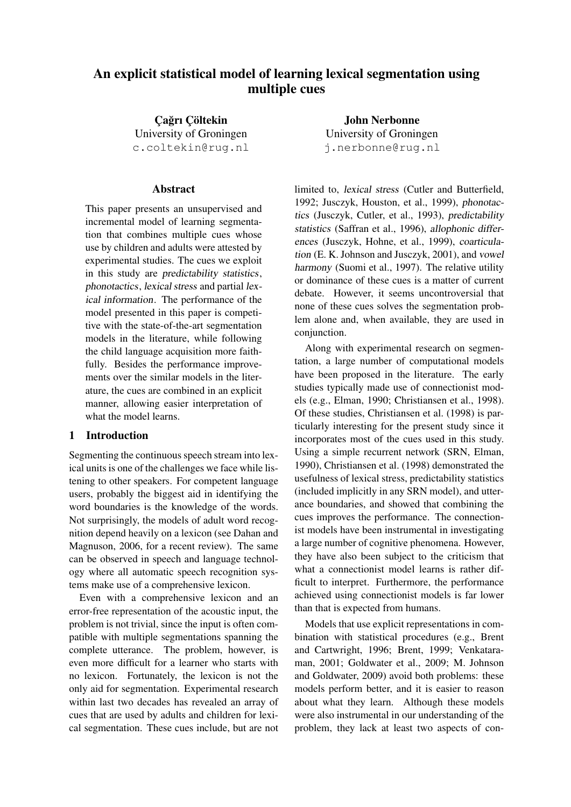# An explicit statistical model of learning lexical segmentation using multiple cues

Çağrı Çöltekin University of Groningen c.coltekin@rug.nl

# Abstract

This paper presents an unsupervised and incremental model of learning segmentation that combines multiple cues whose use by children and adults were attested by experimental studies. The cues we exploit in this study are predictability statistics, phonotactics, lexical stress and partial lexical information. The performance of the model presented in this paper is competitive with the state-of-the-art segmentation models in the literature, while following the child language acquisition more faithfully. Besides the performance improvements over the similar models in the literature, the cues are combined in an explicit manner, allowing easier interpretation of what the model learns.

# <span id="page-0-0"></span>1 Introduction

Segmenting the continuous speech stream into lexical units is one of the challenges we face while listening to other speakers. For competent language users, probably the biggest aid in identifying the word boundaries is the knowledge of the words. Not surprisingly, the models of adult word recognition depend heavily on a lexicon (see Dahan and Magnuson, [2006,](#page-8-0) for a recent review). The same can be observed in speech and language technology where all automatic speech recognition systems make use of a comprehensive lexicon.

Even with a comprehensive lexicon and an error-free representation of the acoustic input, the problem is not trivial, since the input is often compatible with multiple segmentations spanning the complete utterance. The problem, however, is even more difficult for a learner who starts with no lexicon. Fortunately, the lexicon is not the only aid for segmentation. Experimental research within last two decades has revealed an array of cues that are used by adults and children for lexical segmentation. These cues include, but are not

John Nerbonne University of Groningen j.nerbonne@rug.nl

limited to, lexical stress (Cutler and Butterfield, [1992;](#page-8-1) Jusczyk, Houston, et al., [1999\)](#page-8-2), phonotactics (Jusczyk, Cutler, et al., [1993\)](#page-8-3), predictability statistics (Saffran et al., [1996\)](#page-8-4), allophonic differences (Jusczyk, Hohne, et al., [1999\)](#page-8-5), coarticulation (E. K. Johnson and Jusczyk, [2001\)](#page-8-6), and vowel harmony (Suomi et al., [1997\)](#page-8-7). The relative utility or dominance of these cues is a matter of current debate. However, it seems uncontroversial that none of these cues solves the segmentation problem alone and, when available, they are used in conjunction.

Along with experimental research on segmentation, a large number of computational models have been proposed in the literature. The early studies typically made use of connectionist models (e.g., Elman, [1990;](#page-8-8) Christiansen et al., [1998\)](#page-8-9). Of these studies, Christiansen et al. [\(1998\)](#page-8-9) is particularly interesting for the present study since it incorporates most of the cues used in this study. Using a simple recurrent network (SRN, Elman, [1990\)](#page-8-8), Christiansen et al. [\(1998\)](#page-8-9) demonstrated the usefulness of lexical stress, predictability statistics (included implicitly in any SRN model), and utterance boundaries, and showed that combining the cues improves the performance. The connectionist models have been instrumental in investigating a large number of cognitive phenomena. However, they have also been subject to the criticism that what a connectionist model learns is rather difficult to interpret. Furthermore, the performance achieved using connectionist models is far lower than that is expected from humans.

Models that use explicit representations in combination with statistical procedures (e.g., Brent and Cartwright, [1996;](#page-8-10) Brent, [1999;](#page-8-11) Venkataraman, [2001;](#page-9-0) Goldwater et al., [2009;](#page-8-12) M. Johnson and Goldwater, [2009\)](#page-8-13) avoid both problems: these models perform better, and it is easier to reason about what they learn. Although these models were also instrumental in our understanding of the problem, they lack at least two aspects of con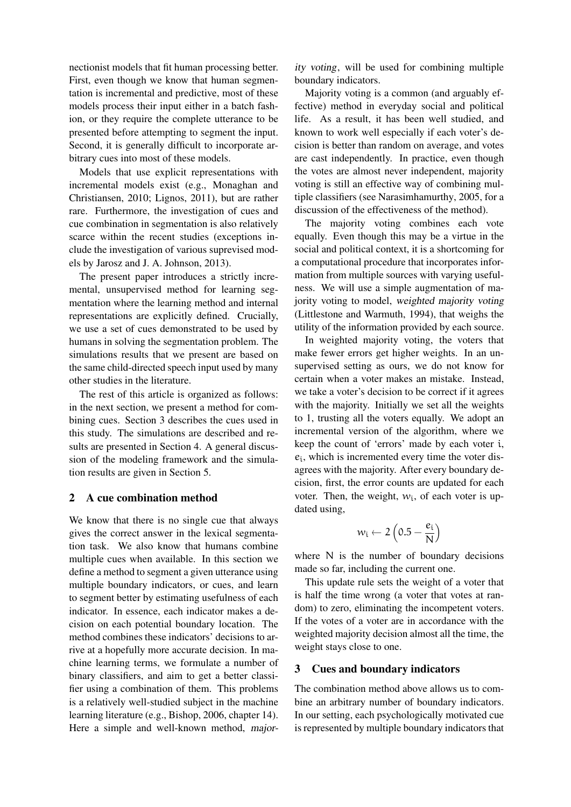nectionist models that fit human processing better. First, even though we know that human segmentation is incremental and predictive, most of these models process their input either in a batch fashion, or they require the complete utterance to be presented before attempting to segment the input. Second, it is generally difficult to incorporate arbitrary cues into most of these models.

Models that use explicit representations with incremental models exist (e.g., Monaghan and Christiansen, [2010;](#page-8-14) Lignos, [2011\)](#page-8-15), but are rather rare. Furthermore, the investigation of cues and cue combination in segmentation is also relatively scarce within the recent studies (exceptions include the investigation of various suprevised models by Jarosz and J. A. Johnson, [2013\)](#page-8-16).

The present paper introduces a strictly incremental, unsupervised method for learning segmentation where the learning method and internal representations are explicitly defined. Crucially, we use a set of cues demonstrated to be used by humans in solving the segmentation problem. The simulations results that we present are based on the same child-directed speech input used by many other studies in the literature.

The rest of this article is organized as follows: in the next section, we present a method for combining cues. Section [3](#page-1-0) describes the cues used in this study. The simulations are described and results are presented in Section [4.](#page-4-0) A general discussion of the modeling framework and the simulation results are given in Section [5.](#page-6-0)

# 2 A cue combination method

We know that there is no single cue that always gives the correct answer in the lexical segmentation task. We also know that humans combine multiple cues when available. In this section we define a method to segment a given utterance using multiple boundary indicators, or cues, and learn to segment better by estimating usefulness of each indicator. In essence, each indicator makes a decision on each potential boundary location. The method combines these indicators' decisions to arrive at a hopefully more accurate decision. In machine learning terms, we formulate a number of binary classifiers, and aim to get a better classifier using a combination of them. This problems is a relatively well-studied subject in the machine learning literature (e.g., Bishop, [2006,](#page-8-17) chapter 14). Here a simple and well-known method, major-

ity voting, will be used for combining multiple boundary indicators.

Majority voting is a common (and arguably effective) method in everyday social and political life. As a result, it has been well studied, and known to work well especially if each voter's decision is better than random on average, and votes are cast independently. In practice, even though the votes are almost never independent, majority voting is still an effective way of combining multiple classifiers (see Narasimhamurthy, [2005,](#page-8-18) for a discussion of the effectiveness of the method).

The majority voting combines each vote equally. Even though this may be a virtue in the social and political context, it is a shortcoming for a computational procedure that incorporates information from multiple sources with varying usefulness. We will use a simple augmentation of majority voting to model, weighted majority voting (Littlestone and Warmuth, [1994\)](#page-8-19), that weighs the utility of the information provided by each source.

In weighted majority voting, the voters that make fewer errors get higher weights. In an unsupervised setting as ours, we do not know for certain when a voter makes an mistake. Instead, we take a voter's decision to be correct if it agrees with the majority. Initially we set all the weights to 1, trusting all the voters equally. We adopt an incremental version of the algorithm, where we keep the count of 'errors' made by each voter i,  $e_i$ , which is incremented every time the voter disagrees with the majority. After every boundary decision, first, the error counts are updated for each voter. Then, the weight,  $w_i$ , of each voter is updated using,

$$
w_i \leftarrow 2\left(0.5 - \frac{e_i}{N}\right)
$$

where N is the number of boundary decisions made so far, including the current one.

This update rule sets the weight of a voter that is half the time wrong (a voter that votes at random) to zero, eliminating the incompetent voters. If the votes of a voter are in accordance with the weighted majority decision almost all the time, the weight stays close to one.

#### <span id="page-1-0"></span>3 Cues and boundary indicators

The combination method above allows us to combine an arbitrary number of boundary indicators. In our setting, each psychologically motivated cue is represented by multiple boundary indicators that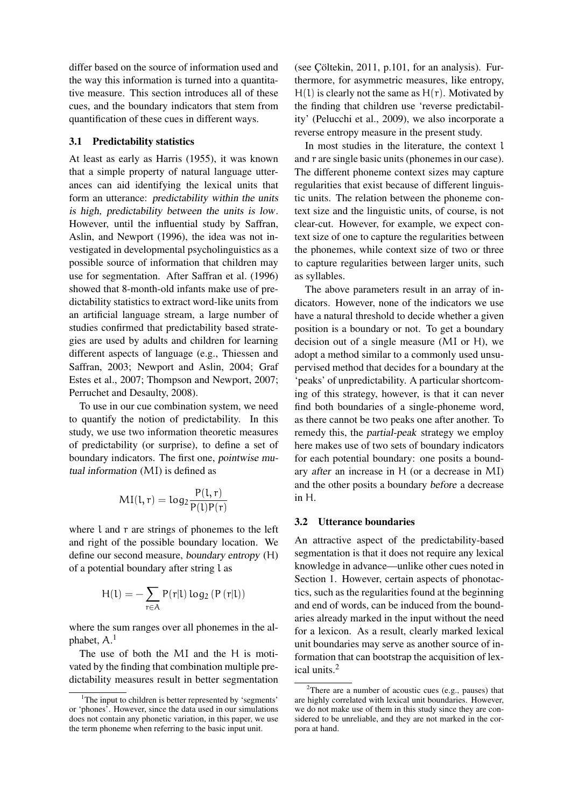differ based on the source of information used and the way this information is turned into a quantitative measure. This section introduces all of these cues, and the boundary indicators that stem from quantification of these cues in different ways.

## 3.1 Predictability statistics

At least as early as Harris [\(1955\)](#page-8-20), it was known that a simple property of natural language utterances can aid identifying the lexical units that form an utterance: predictability within the units is high, predictability between the units is low. However, until the influential study by Saffran, Aslin, and Newport [\(1996\)](#page-8-4), the idea was not investigated in developmental psycholinguistics as a possible source of information that children may use for segmentation. After Saffran et al. [\(1996\)](#page-8-4) showed that 8-month-old infants make use of predictability statistics to extract word-like units from an artificial language stream, a large number of studies confirmed that predictability based strategies are used by adults and children for learning different aspects of language (e.g., Thiessen and Saffran, [2003;](#page-9-1) Newport and Aslin, [2004;](#page-8-21) Graf Estes et al., [2007;](#page-8-22) Thompson and Newport, [2007;](#page-9-2) Perruchet and Desaulty, [2008\)](#page-8-23).

To use in our cue combination system, we need to quantify the notion of predictability. In this study, we use two information theoretic measures of predictability (or surprise), to define a set of boundary indicators. The first one, pointwise mutual information (MI) is defined as

$$
MI(l,r) = log_2 \frac{P(l,r)}{P(l)P(r)}
$$

where l and r are strings of phonemes to the left and right of the possible boundary location. We define our second measure, boundary entropy (H) of a potential boundary after string l as

$$
H(l)=-\sum_{r\in A}P(r|l)\log_2\left(P\left(r|l\right)\right)
$$

where the sum ranges over all phonemes in the alphabet, A. [1](#page-2-0)

The use of both the MI and the H is motivated by the finding that combination multiple predictability measures result in better segmentation

(see Cöltekin,  $2011$ , p.101, for an analysis). Furthermore, for asymmetric measures, like entropy,  $H(1)$  is clearly not the same as  $H(r)$ . Motivated by the finding that children use 'reverse predictability' (Pelucchi et al., [2009\)](#page-8-25), we also incorporate a reverse entropy measure in the present study.

In most studies in the literature, the context l and r are single basic units (phonemes in our case). The different phoneme context sizes may capture regularities that exist because of different linguistic units. The relation between the phoneme context size and the linguistic units, of course, is not clear-cut. However, for example, we expect context size of one to capture the regularities between the phonemes, while context size of two or three to capture regularities between larger units, such as syllables.

The above parameters result in an array of indicators. However, none of the indicators we use have a natural threshold to decide whether a given position is a boundary or not. To get a boundary decision out of a single measure (MI or H), we adopt a method similar to a commonly used unsupervised method that decides for a boundary at the 'peaks' of unpredictability. A particular shortcoming of this strategy, however, is that it can never find both boundaries of a single-phoneme word, as there cannot be two peaks one after another. To remedy this, the partial-peak strategy we employ here makes use of two sets of boundary indicators for each potential boundary: one posits a boundary after an increase in H (or a decrease in MI) and the other posits a boundary before a decrease in H.

#### <span id="page-2-2"></span>3.2 Utterance boundaries

An attractive aspect of the predictability-based segmentation is that it does not require any lexical knowledge in advance—unlike other cues noted in Section [1.](#page-0-0) However, certain aspects of phonotactics, such as the regularities found at the beginning and end of words, can be induced from the boundaries already marked in the input without the need for a lexicon. As a result, clearly marked lexical unit boundaries may serve as another source of information that can bootstrap the acquisition of lexical units.[2](#page-2-1)

<span id="page-2-0"></span><sup>&</sup>lt;sup>1</sup>The input to children is better represented by 'segments' or 'phones'. However, since the data used in our simulations does not contain any phonetic variation, in this paper, we use the term phoneme when referring to the basic input unit.

<span id="page-2-1"></span><sup>&</sup>lt;sup>2</sup>There are a number of acoustic cues (e.g., pauses) that are highly correlated with lexical unit boundaries. However, we do not make use of them in this study since they are considered to be unreliable, and they are not marked in the corpora at hand.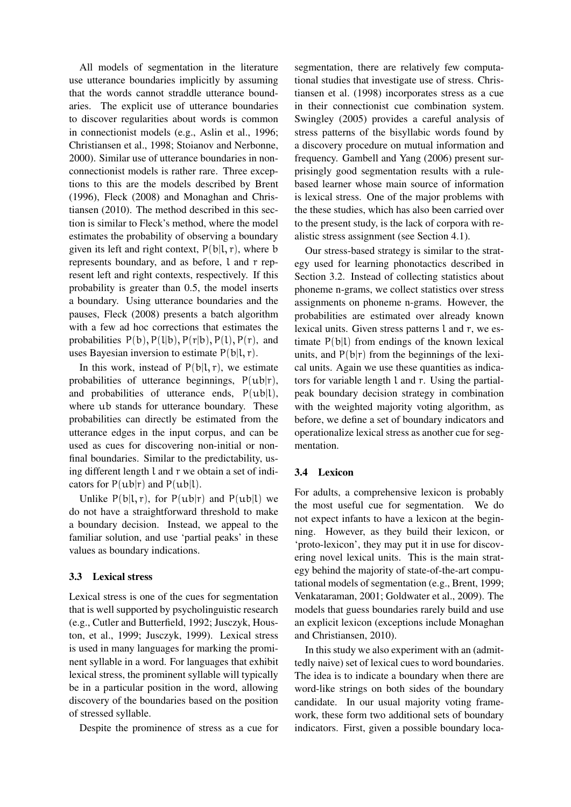All models of segmentation in the literature use utterance boundaries implicitly by assuming that the words cannot straddle utterance boundaries. The explicit use of utterance boundaries to discover regularities about words is common in connectionist models (e.g., Aslin et al., [1996;](#page-8-26) Christiansen et al., [1998;](#page-8-9) Stoianov and Nerbonne, [2000\)](#page-8-27). Similar use of utterance boundaries in nonconnectionist models is rather rare. Three exceptions to this are the models described by Brent [\(1996\)](#page-8-28), Fleck [\(2008\)](#page-8-29) and Monaghan and Christiansen [\(2010\)](#page-8-14). The method described in this section is similar to Fleck's method, where the model estimates the probability of observing a boundary given its left and right context,  $P(b|l, r)$ , where b represents boundary, and as before, l and r represent left and right contexts, respectively. If this probability is greater than 0.5, the model inserts a boundary. Using utterance boundaries and the pauses, Fleck [\(2008\)](#page-8-29) presents a batch algorithm with a few ad hoc corrections that estimates the probabilities  $P(b)$ ,  $P(l|b)$ ,  $P(r|b)$ ,  $P(l)$ ,  $P(r)$ , and uses Bayesian inversion to estimate  $P(b|l, r)$ .

In this work, instead of  $P(b|l, r)$ , we estimate probabilities of utterance beginnings,  $P(ub|r)$ , and probabilities of utterance ends, P(ub|l), where ub stands for utterance boundary. These probabilities can directly be estimated from the utterance edges in the input corpus, and can be used as cues for discovering non-initial or nonfinal boundaries. Similar to the predictability, using different length l and r we obtain a set of indicators for  $P(u b|r)$  and  $P(u b|l)$ .

Unlike  $P(b|l, r)$ , for  $P(ublr)$  and  $P(ubl)$  we do not have a straightforward threshold to make a boundary decision. Instead, we appeal to the familiar solution, and use 'partial peaks' in these values as boundary indications.

## 3.3 Lexical stress

Lexical stress is one of the cues for segmentation that is well supported by psycholinguistic research (e.g., Cutler and Butterfield, [1992;](#page-8-1) Jusczyk, Houston, et al., [1999;](#page-8-2) Jusczyk, [1999\)](#page-8-30). Lexical stress is used in many languages for marking the prominent syllable in a word. For languages that exhibit lexical stress, the prominent syllable will typically be in a particular position in the word, allowing discovery of the boundaries based on the position of stressed syllable.

Despite the prominence of stress as a cue for

segmentation, there are relatively few computational studies that investigate use of stress. Christiansen et al. [\(1998\)](#page-8-9) incorporates stress as a cue in their connectionist cue combination system. Swingley [\(2005\)](#page-9-3) provides a careful analysis of stress patterns of the bisyllabic words found by a discovery procedure on mutual information and frequency. Gambell and Yang [\(2006\)](#page-8-31) present surprisingly good segmentation results with a rulebased learner whose main source of information is lexical stress. One of the major problems with the these studies, which has also been carried over to the present study, is the lack of corpora with realistic stress assignment (see Section [4.1\)](#page-4-1).

Our stress-based strategy is similar to the strategy used for learning phonotactics described in Section [3.2.](#page-2-2) Instead of collecting statistics about phoneme n-grams, we collect statistics over stress assignments on phoneme n-grams. However, the probabilities are estimated over already known lexical units. Given stress patterns l and r, we estimate  $P(b|l)$  from endings of the known lexical units, and  $P(b|r)$  from the beginnings of the lexical units. Again we use these quantities as indicators for variable length l and r. Using the partialpeak boundary decision strategy in combination with the weighted majority voting algorithm, as before, we define a set of boundary indicators and operationalize lexical stress as another cue for segmentation.

## 3.4 Lexicon

For adults, a comprehensive lexicon is probably the most useful cue for segmentation. We do not expect infants to have a lexicon at the beginning. However, as they build their lexicon, or 'proto-lexicon', they may put it in use for discovering novel lexical units. This is the main strategy behind the majority of state-of-the-art computational models of segmentation (e.g., Brent, [1999;](#page-8-11) Venkataraman, [2001;](#page-9-0) Goldwater et al., [2009\)](#page-8-12). The models that guess boundaries rarely build and use an explicit lexicon (exceptions include Monaghan and Christiansen, [2010\)](#page-8-14).

In this study we also experiment with an (admittedly naive) set of lexical cues to word boundaries. The idea is to indicate a boundary when there are word-like strings on both sides of the boundary candidate. In our usual majority voting framework, these form two additional sets of boundary indicators. First, given a possible boundary loca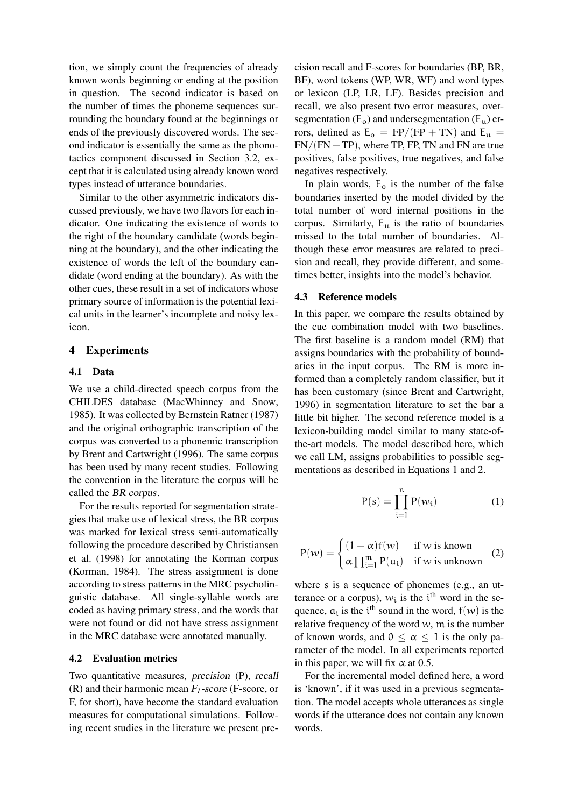tion, we simply count the frequencies of already known words beginning or ending at the position in question. The second indicator is based on the number of times the phoneme sequences surrounding the boundary found at the beginnings or ends of the previously discovered words. The second indicator is essentially the same as the phonotactics component discussed in Section [3.2,](#page-2-2) except that it is calculated using already known word types instead of utterance boundaries.

Similar to the other asymmetric indicators discussed previously, we have two flavors for each indicator. One indicating the existence of words to the right of the boundary candidate (words beginning at the boundary), and the other indicating the existence of words the left of the boundary candidate (word ending at the boundary). As with the other cues, these result in a set of indicators whose primary source of information is the potential lexical units in the learner's incomplete and noisy lexicon.

# <span id="page-4-0"></span>4 Experiments

## <span id="page-4-1"></span>4.1 Data

We use a child-directed speech corpus from the CHILDES database (MacWhinney and Snow, [1985\)](#page-8-32). It was collected by Bernstein Ratner [\(1987\)](#page-8-33) and the original orthographic transcription of the corpus was converted to a phonemic transcription by Brent and Cartwright [\(1996\)](#page-8-10). The same corpus has been used by many recent studies. Following the convention in the literature the corpus will be called the BR corpus.

For the results reported for segmentation strategies that make use of lexical stress, the BR corpus was marked for lexical stress semi-automatically following the procedure described by Christiansen et al. [\(1998\)](#page-8-9) for annotating the Korman corpus (Korman, [1984\)](#page-8-34). The stress assignment is done according to stress patterns in the MRC psycholinguistic database. All single-syllable words are coded as having primary stress, and the words that were not found or did not have stress assignment in the MRC database were annotated manually.

#### 4.2 Evaluation metrics

Two quantitative measures, precision (P), recall (R) and their harmonic mean F*1*-score (F-score, or F, for short), have become the standard evaluation measures for computational simulations. Following recent studies in the literature we present pre-

cision recall and F-scores for boundaries (BP, BR, BF), word tokens (WP, WR, WF) and word types or lexicon (LP, LR, LF). Besides precision and recall, we also present two error measures, oversegmentation  $(E_0)$  and undersegmentation  $(E_u)$  errors, defined as  $E_0 = FP/(FP + TN)$  and  $E_u$  =  $FN/(FN + TP)$ , where TP, FP, TN and FN are true positives, false positives, true negatives, and false negatives respectively.

In plain words,  $E_0$  is the number of the false boundaries inserted by the model divided by the total number of word internal positions in the corpus. Similarly,  $E_u$  is the ratio of boundaries missed to the total number of boundaries. Although these error measures are related to precision and recall, they provide different, and sometimes better, insights into the model's behavior.

#### <span id="page-4-4"></span>4.3 Reference models

In this paper, we compare the results obtained by the cue combination model with two baselines. The first baseline is a random model (RM) that assigns boundaries with the probability of boundaries in the input corpus. The RM is more informed than a completely random classifier, but it has been customary (since Brent and Cartwright, [1996\)](#page-8-10) in segmentation literature to set the bar a little bit higher. The second reference model is a lexicon-building model similar to many state-ofthe-art models. The model described here, which we call LM, assigns probabilities to possible segmentations as described in Equations [1](#page-4-2) and [2.](#page-4-3)

$$
P(s) = \prod_{i=1}^{n} P(w_i)
$$
 (1)

<span id="page-4-3"></span><span id="page-4-2"></span>
$$
P(w) = \begin{cases} (1 - \alpha)f(w) & \text{if } w \text{ is known} \\ \alpha \prod_{i=1}^{m} P(a_i) & \text{if } w \text{ is unknown} \end{cases}
$$
 (2)

where s is a sequence of phonemes (e.g., an utterance or a corpus),  $w_i$  is the i<sup>th</sup> word in the sequence,  $a_i$  is the i<sup>th</sup> sound in the word,  $f(w)$  is the relative frequency of the word  $w$ , m is the number of known words, and  $0 \le \alpha \le 1$  is the only parameter of the model. In all experiments reported in this paper, we will fix  $\alpha$  at 0.5.

For the incremental model defined here, a word is 'known', if it was used in a previous segmentation. The model accepts whole utterances as single words if the utterance does not contain any known words.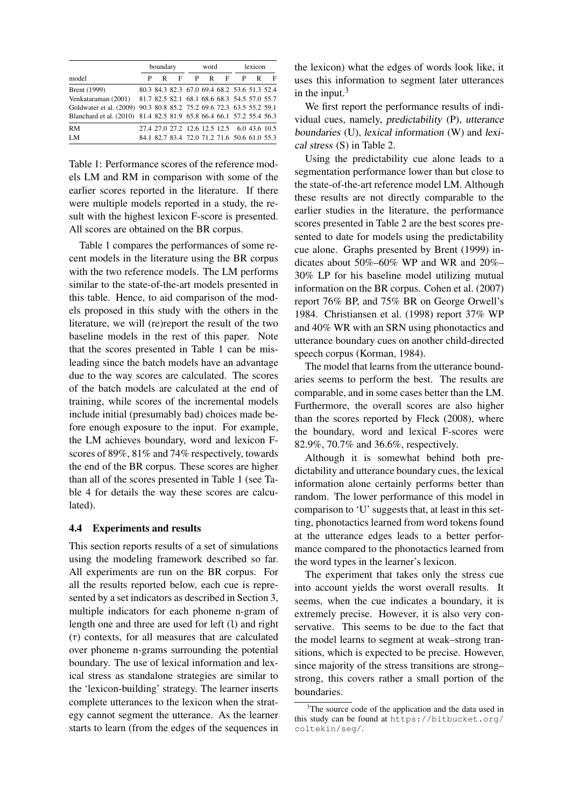<span id="page-5-0"></span>

|                                                                      |   | boundary |   |   | word |                                              | lexicon |   |   |
|----------------------------------------------------------------------|---|----------|---|---|------|----------------------------------------------|---------|---|---|
| model                                                                | Р | R        | F | P |      | $R$ F                                        | P       | R | F |
| Brent (1999)                                                         |   |          |   |   |      | 80.3 84.3 82.3 67.0 69.4 68.2 53.6 51.3 52.4 |         |   |   |
| Venkataraman (2001) 81.7 82.5 82.1 68.1 68.6 68.3 54.5 57.0 55.7     |   |          |   |   |      |                                              |         |   |   |
| Goldwater et al. (2009) 90.3 80.8 85.2 75.2 69.6 72.3 63.5 55.2 59.1 |   |          |   |   |      |                                              |         |   |   |
| Blanchard et al. (2010) 81.4 82.5 81.9 65.8 66.4 66.1 57.2 55.4 56.3 |   |          |   |   |      |                                              |         |   |   |
| <b>RM</b>                                                            |   |          |   |   |      | 27.4 27.0 27.2 12.6 12.5 12.5 6.0 43.6 10.5  |         |   |   |
| LM                                                                   |   |          |   |   |      | 84.1 82.7 83.4 72.0 71.2 71.6 50.6 61.0 55.3 |         |   |   |

Table 1: Performance scores of the reference models LM and RM in comparison with some of the earlier scores reported in the literature. If there were multiple models reported in a study, the result with the highest lexicon F-score is presented. All scores are obtained on the BR corpus.

Table [1](#page-5-0) compares the performances of some recent models in the literature using the BR corpus with the two reference models. The LM performs similar to the state-of-the-art models presented in this table. Hence, to aid comparison of the models proposed in this study with the others in the literature, we will (re)report the result of the two baseline models in the rest of this paper. Note that the scores presented in Table [1](#page-5-0) can be misleading since the batch models have an advantage due to the way scores are calculated. The scores of the batch models are calculated at the end of training, while scores of the incremental models include initial (presumably bad) choices made before enough exposure to the input. For example, the LM achieves boundary, word and lexicon Fscores of 89%, 81% and 74% respectively, towards the end of the BR corpus. These scores are higher than all of the scores presented in Table [1](#page-5-0) (see Table [4](#page-6-1) for details the way these scores are calculated).

#### <span id="page-5-2"></span>4.4 Experiments and results

This section reports results of a set of simulations using the modeling framework described so far. All experiments are run on the BR corpus. For all the results reported below, each cue is represented by a set indicators as described in Section [3,](#page-1-0) multiple indicators for each phoneme n-gram of length one and three are used for left (l) and right (r) contexts, for all measures that are calculated over phoneme n-grams surrounding the potential boundary. The use of lexical information and lexical stress as standalone strategies are similar to the 'lexicon-building' strategy. The learner inserts complete utterances to the lexicon when the strategy cannot segment the utterance. As the learner starts to learn (from the edges of the sequences in the lexicon) what the edges of words look like, it uses this information to segment later utterances in the input. $3$ 

We first report the performance results of individual cues, namely, predictability (P), utterance boundaries (U), lexical information (W) and lexical stress (S) in Table [2.](#page-6-2)

Using the predictability cue alone leads to a segmentation performance lower than but close to the state-of-the-art reference model LM. Although these results are not directly comparable to the earlier studies in the literature, the performance scores presented in Table [2](#page-6-2) are the best scores presented to date for models using the predictability cue alone. Graphs presented by Brent [\(1999\)](#page-8-11) indicates about 50%–60% WP and WR and 20%– 30% LP for his baseline model utilizing mutual information on the BR corpus. Cohen et al. [\(2007\)](#page-8-36) report 76% BP, and 75% BR on George Orwell's 1984. Christiansen et al. [\(1998\)](#page-8-9) report 37% WP and 40% WR with an SRN using phonotactics and utterance boundary cues on another child-directed speech corpus (Korman, [1984\)](#page-8-34).

The model that learns from the utterance boundaries seems to perform the best. The results are comparable, and in some cases better than the LM. Furthermore, the overall scores are also higher than the scores reported by Fleck [\(2008\)](#page-8-29), where the boundary, word and lexical F-scores were 82.9%, 70.7% and 36.6%, respectively.

Although it is somewhat behind both predictability and utterance boundary cues, the lexical information alone certainly performs better than random. The lower performance of this model in comparison to 'U' suggests that, at least in this setting, phonotactics learned from word tokens found at the utterance edges leads to a better performance compared to the phonotactics learned from the word types in the learner's lexicon.

The experiment that takes only the stress cue into account yields the worst overall results. It seems, when the cue indicates a boundary, it is extremely precise. However, it is also very conservative. This seems to be due to the fact that the model learns to segment at weak–strong transitions, which is expected to be precise. However, since majority of the stress transitions are strong– strong, this covers rather a small portion of the boundaries.

<span id="page-5-1"></span><sup>&</sup>lt;sup>3</sup>The source code of the application and the data used in this study can be found at [https://bitbucket.org/](https://bitbucket.org/coltekin/seg/) [coltekin/seg/](https://bitbucket.org/coltekin/seg/).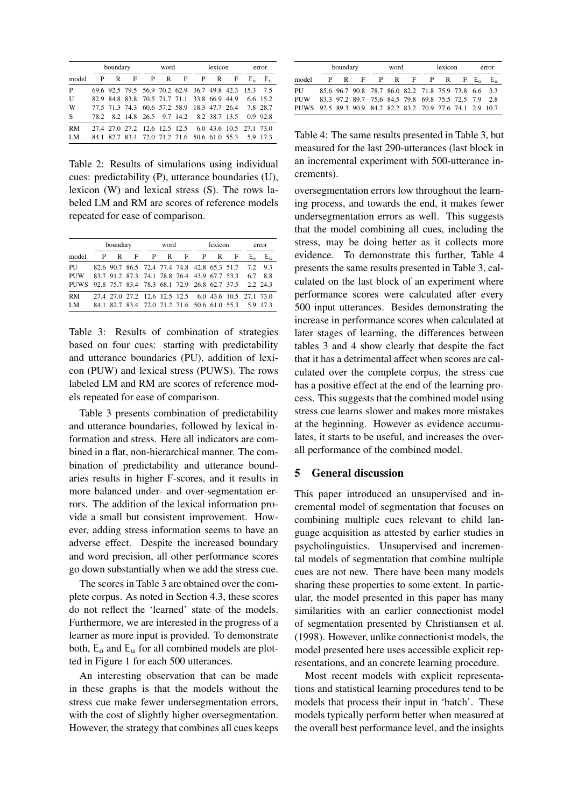<span id="page-6-2"></span>

|           | boundary |   |                                              |   | word |     |   | lexicon | error                   |              |            |
|-----------|----------|---|----------------------------------------------|---|------|-----|---|---------|-------------------------|--------------|------------|
| model     | P        | R | F                                            | P | R    | - F | P | R       | F                       | $E_{\alpha}$ | E.,        |
| P         |          |   | 69.6 92.5 79.5 56.9 70.2 62.9 36.7 49.8 42.3 |   |      |     |   |         |                         | 15.3         | 75         |
| U         |          |   | 82.9 84.8 83.8 70.5 71.7 71.1 33.8 66.9 44.9 |   |      |     |   |         |                         |              | 6.6 15.2   |
| W         |          |   | 77.5 71.3 74.3 60.6 57.2 58.9 18.3 47.7 26.4 |   |      |     |   |         |                         |              | 7.8 28.7   |
| <b>S</b>  |          |   | 78.2 8.2 14.8 26.5 9.7 14.2 8.2 38.7 13.5    |   |      |     |   |         |                         |              | $0.9$ 92.8 |
| <b>RM</b> |          |   | 27.4 27.0 27.2 12.6 12.5 12.5                |   |      |     |   |         | 6.0 43.6 10.5 27.1 73.0 |              |            |
| LM        |          |   | 84.1 82.7 83.4 72.0 71.2 71.6 50.6 61.0 55.3 |   |      |     |   |         |                         |              | 5.9 17.3   |

Table 2: Results of simulations using individual cues: predictability (P), utterance boundaries (U), lexicon (W) and lexical stress (S). The rows labeled LM and RM are scores of reference models repeated for ease of comparison.

<span id="page-6-3"></span>

|           |   | boundary |   |   | word |                                                       |     | lexicon | error |         |         |
|-----------|---|----------|---|---|------|-------------------------------------------------------|-----|---------|-------|---------|---------|
| model     | P | R        | F | P |      | $R$ F                                                 | - P | R       | -F    | $E_{0}$ | E.,     |
| PU        |   |          |   |   |      | 82.6 90.7 86.5 72.4 77.4 74.8 42.8 65.3 51.7          |     |         |       | 72      | 9.3     |
| PUW       |   |          |   |   |      | 83.7 91.2 87.3 74.1 78.8 76.4 43.9 67.7 53.3          |     |         |       | 67      | 88      |
| PUWS      |   |          |   |   |      | 92.8 75.7 83.4 78.3 68.1 72.9 26.8 62.7 37.5          |     |         |       |         | 22 24 3 |
| <b>RM</b> |   |          |   |   |      | 27.4 27.0 27.2 12.6 12.5 12.5 6.0 43.6 10.5 27.1 73.0 |     |         |       |         |         |
| LM        |   |          |   |   |      | 84.1 82.7 83.4 72.0 71.2 71.6 50.6 61.0 55.3 5.9 17.3 |     |         |       |         |         |

Table 3: Results of combination of strategies based on four cues: starting with predictability and utterance boundaries (PU), addition of lexicon (PUW) and lexical stress (PUWS). The rows labeled LM and RM are scores of reference models repeated for ease of comparison.

Table [3](#page-6-3) presents combination of predictability and utterance boundaries, followed by lexical information and stress. Here all indicators are combined in a flat, non-hierarchical manner. The combination of predictability and utterance boundaries results in higher F-scores, and it results in more balanced under- and over-segmentation errors. The addition of the lexical information provide a small but consistent improvement. However, adding stress information seems to have an adverse effect. Despite the increased boundary and word precision, all other performance scores go down substantially when we add the stress cue.

The scores in Table [3](#page-6-3) are obtained over the complete corpus. As noted in Section [4.3,](#page-4-4) these scores do not reflect the 'learned' state of the models. Furthermore, we are interested in the progress of a learner as more input is provided. To demonstrate both,  $E_0$  and  $E_u$  for all combined models are plotted in Figure [1](#page-7-0) for each 500 utterances.

An interesting observation that can be made in these graphs is that the models without the stress cue make fewer undersegmentation errors, with the cost of slightly higher oversegmentation. However, the strategy that combines all cues keeps

<span id="page-6-1"></span>

|                                                            |    | boundary |                                                      |             | word |  |  | lexicon | error |           |          |
|------------------------------------------------------------|----|----------|------------------------------------------------------|-------------|------|--|--|---------|-------|-----------|----------|
| model                                                      | P. | R        |                                                      | F P R F P R |      |  |  |         |       | $F E_{0}$ | $E_{11}$ |
| PU                                                         |    |          | 85.6 96.7 90.8 78.7 86.0 82.2 71.8 75.9 73.8 6.6 3.3 |             |      |  |  |         |       |           |          |
| <b>PUW</b>                                                 |    |          | 83.3 97.2 89.7 75.6 84.5 79.8 69.8 75.5 72.5 7.9     |             |      |  |  |         |       |           | 2.8      |
| PUWS 92.5 89.3 90.9 84.2 82.2 83.2 70.9 77.6 74.1 2.9 10.7 |    |          |                                                      |             |      |  |  |         |       |           |          |

Table 4: The same results presented in Table [3,](#page-6-3) but measured for the last 290-utterances (last block in an incremental experiment with 500-utterance increments).

oversegmentation errors low throughout the learning process, and towards the end, it makes fewer undersegmentation errors as well. This suggests that the model combining all cues, including the stress, may be doing better as it collects more evidence. To demonstrate this further, Table [4](#page-6-1) presents the same results presented in Table [3,](#page-6-3) calculated on the last block of an experiment where performance scores were calculated after every 500 input utterances. Besides demonstrating the increase in performance scores when calculated at later stages of learning, the differences between tables [3](#page-6-3) and [4](#page-6-1) show clearly that despite the fact that it has a detrimental affect when scores are calculated over the complete corpus, the stress cue has a positive effect at the end of the learning process. This suggests that the combined model using stress cue learns slower and makes more mistakes at the beginning. However as evidence accumulates, it starts to be useful, and increases the overall performance of the combined model.

#### <span id="page-6-0"></span>5 General discussion

This paper introduced an unsupervised and incremental model of segmentation that focuses on combining multiple cues relevant to child language acquisition as attested by earlier studies in psycholinguistics. Unsupervised and incremental models of segmentation that combine multiple cues are not new. There have been many models sharing these properties to some extent. In particular, the model presented in this paper has many similarities with an earlier connectionist model of segmentation presented by Christiansen et al. [\(1998\)](#page-8-9). However, unlike connectionist models, the model presented here uses accessible explicit representations, and an concrete learning procedure.

Most recent models with explicit representations and statistical learning procedures tend to be models that process their input in 'batch'. These models typically perform better when measured at the overall best performance level, and the insights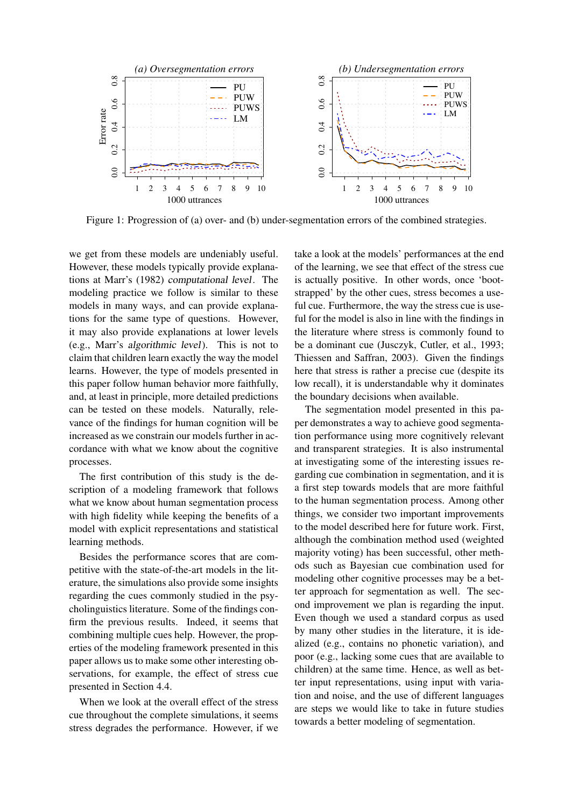<span id="page-7-0"></span>

Figure 1: Progression of (a) over- and (b) under-segmentation errors of the combined strategies.

we get from these models are undeniably useful. However, these models typically provide explanations at Marr's (1982) computational level. The modeling practice we follow is similar to these models in many ways, and can provide explanations for the same type of questions. However, it may also provide explanations at lower levels (e.g., Marr's algorithmic level). This is not to claim that children learn exactly the way the model learns. However, the type of models presented in this paper follow human behavior more faithfully, and, at least in principle, more detailed predictions can be tested on these models. Naturally, relevance of the findings for human cognition will be increased as we constrain our models further in accordance with what we know about the cognitive processes.

The first contribution of this study is the description of a modeling framework that follows what we know about human segmentation process with high fidelity while keeping the benefits of a model with explicit representations and statistical learning methods.

Besides the performance scores that are competitive with the state-of-the-art models in the literature, the simulations also provide some insights regarding the cues commonly studied in the psycholinguistics literature. Some of the findings confirm the previous results. Indeed, it seems that combining multiple cues help. However, the properties of the modeling framework presented in this paper allows us to make some other interesting observations, for example, the effect of stress cue presented in Section [4.4.](#page-5-2)

When we look at the overall effect of the stress cue throughout the complete simulations, it seems stress degrades the performance. However, if we take a look at the models' performances at the end of the learning, we see that effect of the stress cue is actually positive. In other words, once 'bootstrapped' by the other cues, stress becomes a useful cue. Furthermore, the way the stress cue is useful for the model is also in line with the findings in the literature where stress is commonly found to be a dominant cue (Jusczyk, Cutler, et al., [1993;](#page-8-3) Thiessen and Saffran, [2003\)](#page-9-1). Given the findings here that stress is rather a precise cue (despite its low recall), it is understandable why it dominates the boundary decisions when available.

The segmentation model presented in this paper demonstrates a way to achieve good segmentation performance using more cognitively relevant and transparent strategies. It is also instrumental at investigating some of the interesting issues regarding cue combination in segmentation, and it is a first step towards models that are more faithful to the human segmentation process. Among other things, we consider two important improvements to the model described here for future work. First, although the combination method used (weighted majority voting) has been successful, other methods such as Bayesian cue combination used for modeling other cognitive processes may be a better approach for segmentation as well. The second improvement we plan is regarding the input. Even though we used a standard corpus as used by many other studies in the literature, it is idealized (e.g., contains no phonetic variation), and poor (e.g., lacking some cues that are available to children) at the same time. Hence, as well as better input representations, using input with variation and noise, and the use of different languages are steps we would like to take in future studies towards a better modeling of segmentation.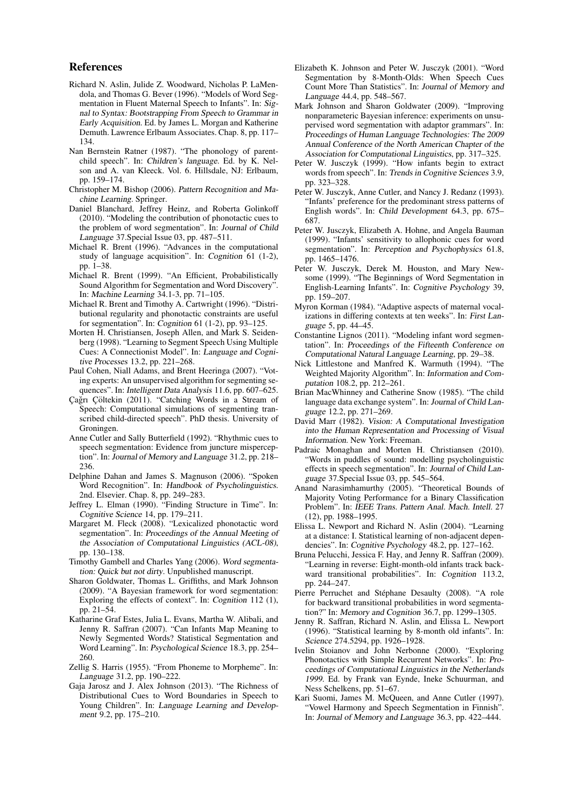#### References

- <span id="page-8-26"></span>Richard N. Aslin, Julide Z. Woodward, Nicholas P. LaMendola, and Thomas G. Bever (1996). "Models of Word Segmentation in Fluent Maternal Speech to Infants". In: Signal to Syntax: Bootstrapping From Speech to Grammar in Early Acquisition. Ed. by James L. Morgan and Katherine Demuth. Lawrence Erlbaum Associates. Chap. 8, pp. 117– 134.
- <span id="page-8-33"></span>Nan Bernstein Ratner (1987). "The phonology of parentchild speech". In: Children's language. Ed. by K. Nelson and A. van Kleeck. Vol. 6. Hillsdale, NJ: Erlbaum, pp. 159–174.
- <span id="page-8-17"></span>Christopher M. Bishop (2006). Pattern Recognition and Machine Learning. Springer.
- <span id="page-8-35"></span>Daniel Blanchard, Jeffrey Heinz, and Roberta Golinkoff (2010). "Modeling the contribution of phonotactic cues to the problem of word segmentation". In: Journal of Child Language 37.Special Issue 03, pp. 487–511.
- <span id="page-8-28"></span>Michael R. Brent (1996). "Advances in the computational study of language acquisition". In: Cognition 61 (1-2), pp. 1–38.
- <span id="page-8-11"></span>Michael R. Brent (1999). "An Efficient, Probabilistically Sound Algorithm for Segmentation and Word Discovery". In: Machine Learning 34.1-3, pp. 71–105.
- <span id="page-8-10"></span>Michael R. Brent and Timothy A. Cartwright (1996). "Distributional regularity and phonotactic constraints are useful for segmentation". In: Cognition 61 (1-2), pp. 93–125.
- <span id="page-8-9"></span>Morten H. Christiansen, Joseph Allen, and Mark S. Seidenberg (1998). "Learning to Segment Speech Using Multiple Cues: A Connectionist Model". In: Language and Cognitive Processes 13.2, pp. 221–268.
- <span id="page-8-36"></span>Paul Cohen, Niall Adams, and Brent Heeringa (2007). "Voting experts: An unsupervised algorithm for segmenting sequences". In: Intelligent Data Analysis 11.6, pp. 607–625.
- <span id="page-8-24"></span>Çağrı Çöltekin (2011). "Catching Words in a Stream of Speech: Computational simulations of segmenting transcribed child-directed speech". PhD thesis. University of Groningen.
- <span id="page-8-1"></span>Anne Cutler and Sally Butterfield (1992). "Rhythmic cues to speech segmentation: Evidence from juncture misperception". In: Journal of Memory and Language 31.2, pp. 218– 236.
- <span id="page-8-0"></span>Delphine Dahan and James S. Magnuson (2006). "Spoken Word Recognition". In: Handbook of Psycholinguistics. 2nd. Elsevier. Chap. 8, pp. 249–283.
- <span id="page-8-8"></span>Jeffrey L. Elman (1990). "Finding Structure in Time". In: Cognitive Science 14, pp. 179–211.
- <span id="page-8-29"></span>Margaret M. Fleck (2008). "Lexicalized phonotactic word segmentation". In: Proceedings of the Annual Meeting of the Association of Computational Linguistics (ACL-08), pp. 130–138.
- <span id="page-8-31"></span>Timothy Gambell and Charles Yang (2006). Word segmentation: Quick but not dirty. Unpublished manuscript.
- <span id="page-8-12"></span>Sharon Goldwater, Thomas L. Griffiths, and Mark Johnson (2009). "A Bayesian framework for word segmentation: Exploring the effects of context". In: Cognition 112 (1), pp. 21–54.
- <span id="page-8-22"></span>Katharine Graf Estes, Julia L. Evans, Martha W. Alibali, and Jenny R. Saffran (2007). "Can Infants Map Meaning to Newly Segmented Words? Statistical Segmentation and Word Learning". In: Psychological Science 18.3, pp. 254– 260.
- <span id="page-8-20"></span>Zellig S. Harris (1955). "From Phoneme to Morpheme". In: Language 31.2, pp. 190–222.
- <span id="page-8-16"></span>Gaja Jarosz and J. Alex Johnson (2013). "The Richness of Distributional Cues to Word Boundaries in Speech to Young Children". In: Language Learning and Development 9.2, pp. 175–210.
- <span id="page-8-6"></span>Elizabeth K. Johnson and Peter W. Jusczyk (2001). "Word Segmentation by 8-Month-Olds: When Speech Cues Count More Than Statistics". In: Journal of Memory and Language 44.4, pp. 548–567.
- <span id="page-8-13"></span>Mark Johnson and Sharon Goldwater (2009). "Improving nonparameteric Bayesian inference: experiments on unsupervised word segmentation with adaptor grammars". In: Proceedings of Human Language Technologies: The 2009 Annual Conference of the North American Chapter of the Association for Computational Linguistics, pp. 317–325.
- <span id="page-8-30"></span>Peter W. Jusczyk (1999). "How infants begin to extract words from speech". In: Trends in Cognitive Sciences 3.9, pp. 323–328.
- <span id="page-8-3"></span>Peter W. Jusczyk, Anne Cutler, and Nancy J. Redanz (1993). "Infants' preference for the predominant stress patterns of English words". In: Child Development 64.3, pp. 675– 687.
- <span id="page-8-5"></span>Peter W. Jusczyk, Elizabeth A. Hohne, and Angela Bauman (1999). "Infants' sensitivity to allophonic cues for word segmentation". In: Perception and Psychophysics 61.8, pp. 1465–1476.
- <span id="page-8-2"></span>Peter W. Jusczyk, Derek M. Houston, and Mary Newsome (1999). "The Beginnings of Word Segmentation in English-Learning Infants". In: Cognitive Psychology 39, pp. 159–207.
- <span id="page-8-34"></span>Myron Korman (1984). "Adaptive aspects of maternal vocalizations in differing contexts at ten weeks". In: First Language 5, pp. 44–45.
- <span id="page-8-15"></span>Constantine Lignos (2011). "Modeling infant word segmentation". In: Proceedings of the Fifteenth Conference on Computational Natural Language Learning, pp. 29–38.
- <span id="page-8-19"></span>Nick Littlestone and Manfred K. Warmuth (1994). "The Weighted Majority Algorithm". In: Information and Computation 108.2, pp. 212–261.
- <span id="page-8-32"></span>Brian MacWhinney and Catherine Snow (1985). "The child language data exchange system". In: Journal of Child Language 12.2, pp. 271–269.
- David Marr (1982). Vision: A Computational Investigation into the Human Representation and Processing of Visual Information. New York: Freeman.
- <span id="page-8-14"></span>Padraic Monaghan and Morten H. Christiansen (2010). "Words in puddles of sound: modelling psycholinguistic effects in speech segmentation". In: Journal of Child Language 37.Special Issue 03, pp. 545–564.
- <span id="page-8-18"></span>Anand Narasimhamurthy (2005). "Theoretical Bounds of Majority Voting Performance for a Binary Classification Problem". In: IEEE Trans. Pattern Anal. Mach. Intell. 27 (12), pp. 1988–1995.
- <span id="page-8-21"></span>Elissa L. Newport and Richard N. Aslin (2004). "Learning at a distance: I. Statistical learning of non-adjacent dependencies". In: Cognitive Psychology 48.2, pp. 127–162.
- <span id="page-8-25"></span>Bruna Pelucchi, Jessica F. Hay, and Jenny R. Saffran (2009). "Learning in reverse: Eight-month-old infants track backward transitional probabilities". In: Cognition 113.2, pp. 244–247.
- <span id="page-8-23"></span>Pierre Perruchet and Stéphane Desaulty (2008). "A role for backward transitional probabilities in word segmentation?" In: Memory and Cognition 36.7, pp. 1299–1305.
- <span id="page-8-4"></span>Jenny R. Saffran, Richard N. Aslin, and Elissa L. Newport (1996). "Statistical learning by 8-month old infants". In: Science 274.5294, pp. 1926–1928.
- <span id="page-8-27"></span>Ivelin Stoianov and John Nerbonne (2000). "Exploring Phonotactics with Simple Recurrent Networks". In: Proceedings of Computational Linguistics in the Netherlands 1999. Ed. by Frank van Eynde, Ineke Schuurman, and Ness Schelkens, pp. 51–67.
- <span id="page-8-7"></span>Kari Suomi, James M. McQueen, and Anne Cutler (1997). "Vowel Harmony and Speech Segmentation in Finnish". In: Journal of Memory and Language 36.3, pp. 422–444.